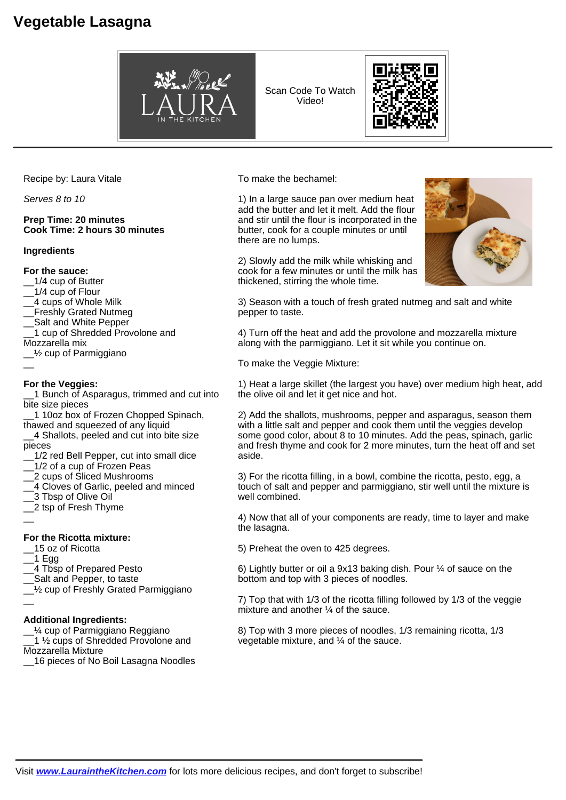# **Vegetable Lasagna**



Scan Code To Watch Video!



Recipe by: Laura Vitale

Serves 8 to 10

### **Prep Time: 20 minutes Cook Time: 2 hours 30 minutes**

#### **Ingredients**

#### **For the sauce:**

- \_\_1/4 cup of Butter
- \_\_1/4 cup of Flour
- \_\_4 cups of Whole Milk
- Freshly Grated Nutmeg
- Salt and White Pepper
- \_\_1 cup of Shredded Provolone and
- Mozzarella mix
- $1/2$  cup of Parmiggiano  $\overline{\phantom{a}}$

## **For the Veggies:**

1 Bunch of Asparagus, trimmed and cut into bite size pieces

\_\_1 10oz box of Frozen Chopped Spinach, thawed and squeezed of any liquid

\_\_4 Shallots, peeled and cut into bite size pieces

- 1/2 red Bell Pepper, cut into small dice
- 1/2 of a cup of Frozen Peas
- \_\_2 cups of Sliced Mushrooms
- \_\_4 Cloves of Garlic, peeled and minced
- \_\_3 Tbsp of Olive Oil
- \_\_2 tsp of Fresh Thyme
- $\overline{\phantom{a}}$

#### **For the Ricotta mixture:**

- \_\_15 oz of Ricotta
- \_\_1 Egg
- \_\_4 Tbsp of Prepared Pesto
- Salt and Pepper, to taste
- 1/<sub>2</sub> cup of Freshly Grated Parmiggiano
- $\overline{a}$

#### **Additional Ingredients:**

 $1/4$  cup of Parmiggiano Reggiano

1 ½ cups of Shredded Provolone and Mozzarella Mixture

\_\_16 pieces of No Boil Lasagna Noodles

To make the bechamel:

1) In a large sauce pan over medium heat add the butter and let it melt. Add the flour and stir until the flour is incorporated in the butter, cook for a couple minutes or until there are no lumps.

2) Slowly add the milk while whisking and cook for a few minutes or until the milk has thickened, stirring the whole time.

3) Season with a touch of fresh grated nutmeg and salt and white pepper to taste.

4) Turn off the heat and add the provolone and mozzarella mixture along with the parmiggiano. Let it sit while you continue on.

To make the Veggie Mixture:

1) Heat a large skillet (the largest you have) over medium high heat, add the olive oil and let it get nice and hot.

2) Add the shallots, mushrooms, pepper and asparagus, season them with a little salt and pepper and cook them until the veggies develop some good color, about 8 to 10 minutes. Add the peas, spinach, garlic and fresh thyme and cook for 2 more minutes, turn the heat off and set aside.

3) For the ricotta filling, in a bowl, combine the ricotta, pesto, egg, a touch of salt and pepper and parmiggiano, stir well until the mixture is well combined.

4) Now that all of your components are ready, time to layer and make the lasagna.

5) Preheat the oven to 425 degrees.

6) Lightly butter or oil a 9x13 baking dish. Pour ¼ of sauce on the bottom and top with 3 pieces of noodles.

7) Top that with 1/3 of the ricotta filling followed by 1/3 of the veggie mixture and another ¼ of the sauce.

8) Top with 3 more pieces of noodles, 1/3 remaining ricotta, 1/3 vegetable mixture, and ¼ of the sauce.